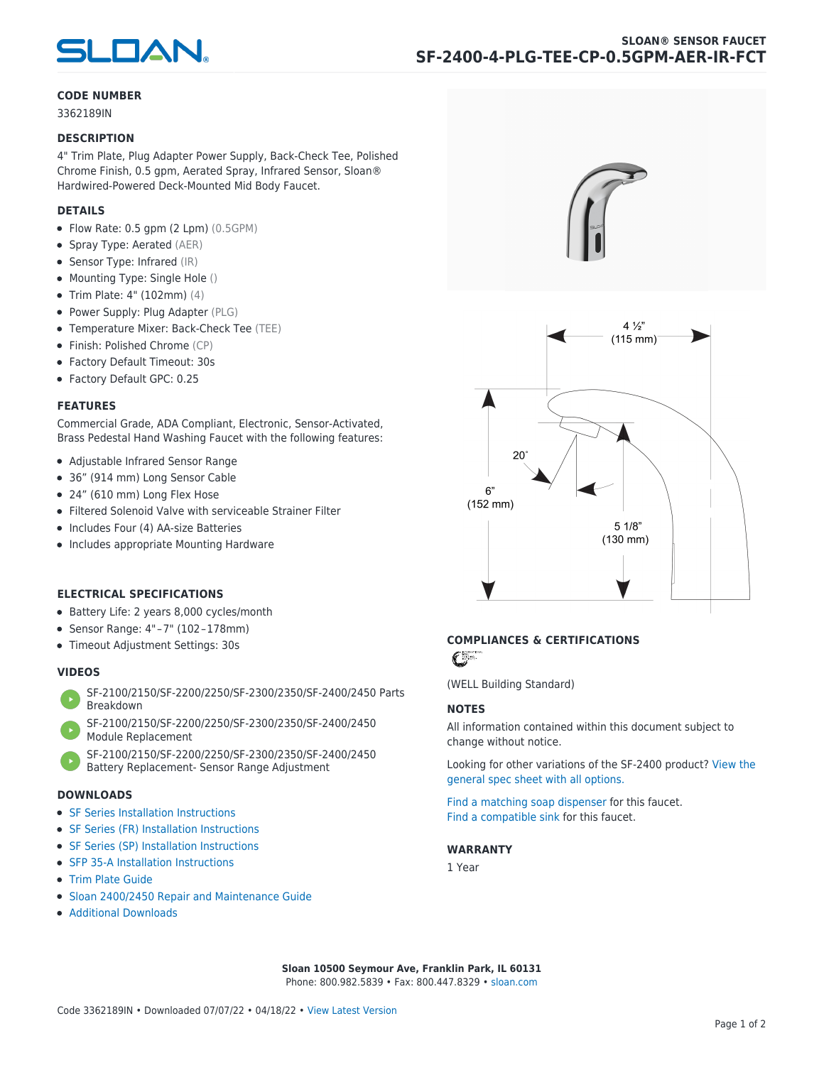

#### **CODE NUMBER**

3362189IN

#### **DESCRIPTION**

4" Trim Plate, Plug Adapter Power Supply, Back-Check Tee, Polished Chrome Finish, 0.5 gpm, Aerated Spray, Infrared Sensor, Sloan® Hardwired-Powered Deck-Mounted Mid Body Faucet.

#### **DETAILS**

- Flow Rate: 0.5 gpm (2 Lpm) (0.5GPM)
- Spray Type: Aerated (AER)
- Sensor Type: Infrared (IR)
- Mounting Type: Single Hole ()
- Trim Plate: 4" (102mm) (4)
- Power Supply: Plug Adapter (PLG)
- Temperature Mixer: Back-Check Tee (TEE)
- Finish: Polished Chrome (CP)
- Factory Default Timeout: 30s
- Factory Default GPC: 0.25

#### **FEATURES**

Commercial Grade, ADA Compliant, Electronic, Sensor-Activated, Brass Pedestal Hand Washing Faucet with the following features:

- Adjustable Infrared Sensor Range
- 36" (914 mm) Long Sensor Cable
- 24" (610 mm) Long Flex Hose
- Filtered Solenoid Valve with serviceable Strainer Filter
- Includes Four (4) AA-size Batteries
- Includes appropriate Mounting Hardware

#### **ELECTRICAL SPECIFICATIONS**

- Battery Life: 2 years 8,000 cycles/month
- Sensor Range: 4" – 7" (102 – 178mm)
- Timeout Adjustment Settings: 30s

#### **VIDEOS**

- [SF-2100/2150/SF-2200/2250/SF-2300/2350/SF-2400/2450 Parts](https://vimeo.com/307089947) [Breakdown](https://vimeo.com/307089947)
- [SF-2100/2150/SF-2200/2250/SF-2300/2350/SF-2400/2450](https://vimeo.com/307087494) [Module Replacement](https://vimeo.com/307087494)
- [SF-2100/2150/SF-2200/2250/SF-2300/2350/SF-2400/2450](https://vimeo.com/307085279) [Battery Replacement- Sensor Range Adjustment](https://vimeo.com/307085279)

#### **DOWNLOADS**

- [SF Series Installation Instructions](https://en.sloan.com/sites/default/files/2018-02/II0816496Rev5_0.pdf)
- [SF Series \(FR\) Installation Instructions](https://en.sloan.com/sites/default/files/2015-12/0816563-fr.pdf)
- [SF Series \(SP\) Installation Instructions](https://en.sloan.com/sites/default/files/2022-03/0816568SP_Rev2.pdf)
- [SFP 35-A Installation Instructions](https://en.sloan.com/sites/default/files/2015-12/0816817.pdf)
- [Trim Plate Guide](https://en.sloan.com/sites/default/files/2020-03/Trim_PlatesAllFaucets.pdf)
- [Sloan 2400/2450 Repair and Maintenance Guide](https://en.sloan.com/sites/default/files/2022-06/Sloan-SF-2400-2450.pdf)
- [Additional Downloads](https://en.sloan.com/commercial-bathroom-products/faucets/sloan/sf-2400)





## **COMPLIANCES & CERTIFICATIONS**

C

(WELL Building Standard)

#### **NOTES**

All information contained within this document subject to change without notice.

[Looking for other variations of the SF-2400 product? View the](https://en.sloan.com/general-spec/311) [general spec sheet with all options.](https://en.sloan.com/general-spec/311)

[Find a matching soap dispenser](https://en.sloan.com/commercial-bathroom-products/soap-dispensers) for this faucet. [Find a compatible sink](https://en.sloan.com/commercial-bathroom-products/sinks) for this faucet.

#### **WARRANTY**

1 Year

**Sloan 10500 Seymour Ave, Franklin Park, IL 60131** Phone: 800.982.5839 • Fax: 800.447.8329 • [sloan.com](https://www.sloan.com)